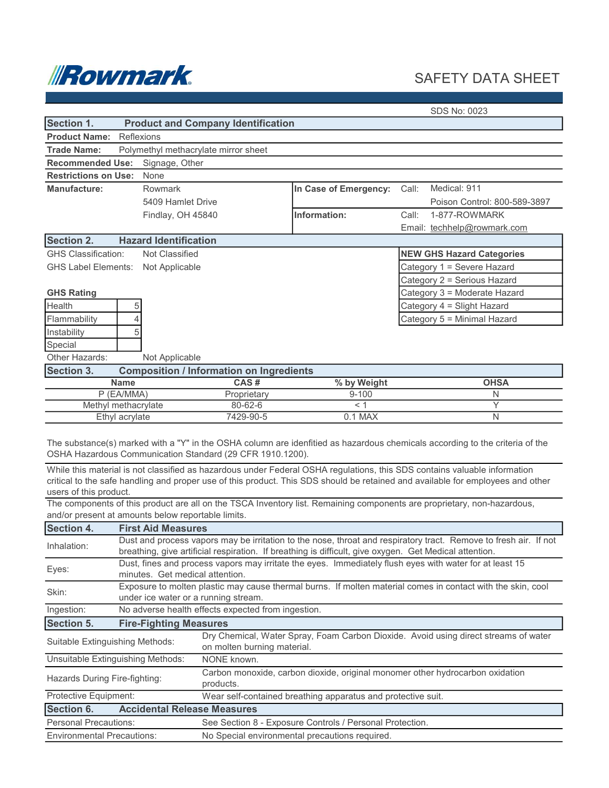

## SAFETY DATA SHEET

|  | SDS No: 0023 |
|--|--------------|
|  |              |

| Section 1.                                |                | <b>Product and Company Identification</b>       |               |                       |                                  |
|-------------------------------------------|----------------|-------------------------------------------------|---------------|-----------------------|----------------------------------|
| <b>Product Name:</b>                      |                | Reflexions                                      |               |                       |                                  |
| <b>Trade Name:</b>                        |                | Polymethyl methacrylate mirror sheet            |               |                       |                                  |
| <b>Recommended Use:</b>                   |                | Signage, Other                                  |               |                       |                                  |
| <b>Restrictions on Use:</b>               |                | None                                            |               |                       |                                  |
| Manufacture:                              |                | Rowmark                                         |               | In Case of Emergency: | Medical: 911<br>Call:            |
|                                           |                | 5409 Hamlet Drive                               |               |                       | Poison Control: 800-589-3897     |
|                                           |                | Findlay, OH 45840                               |               | Information:          | 1-877-ROWMARK<br>Call:           |
|                                           |                |                                                 |               |                       | Email: techhelp@rowmark.com      |
| <b>Section 2.</b>                         |                | <b>Hazard Identification</b>                    |               |                       |                                  |
| <b>GHS Classification:</b>                |                | Not Classified                                  |               |                       | <b>NEW GHS Hazard Categories</b> |
| <b>GHS Label Elements: Not Applicable</b> |                |                                                 |               |                       | Category 1 = Severe Hazard       |
|                                           |                |                                                 |               |                       | Category 2 = Serious Hazard      |
| <b>GHS Rating</b>                         |                |                                                 |               |                       | Category 3 = Moderate Hazard     |
| Health                                    | 5              |                                                 |               |                       | Category 4 = Slight Hazard       |
| Flammability                              | 4              |                                                 |               |                       | Category 5 = Minimal Hazard      |
| Instability                               | 5              |                                                 |               |                       |                                  |
| Special                                   |                |                                                 |               |                       |                                  |
| Other Hazards:                            |                | Not Applicable                                  |               |                       |                                  |
| <b>Section 3.</b>                         |                | <b>Composition / Information on Ingredients</b> |               |                       |                                  |
| <b>Name</b>                               |                |                                                 | CAS#          | % by Weight           | <b>OHSA</b>                      |
| P (EA/MMA)                                |                |                                                 | Proprietary   | $9 - 100$             | N                                |
| Methyl methacrylate                       |                |                                                 | $80 - 62 - 6$ | < 1                   | Y                                |
|                                           | Ethyl acrylate |                                                 | 7429-90-5     | $0.1$ MAX             | N                                |

While this material is not classified as hazardous under Federal OSHA regulations, this SDS contains valuable information critical to the safe handling and proper use of this product. This SDS should be retained and available for employees and other users of this product.

The components of this product are all on the TSCA Inventory list. Remaining components are proprietary, non-hazardous, and/or present at amounts below reportable limits.

| <b>Section 4.</b>                 | <b>First Aid Measures</b>                                                                                                                                                                                                  |                                                                                                                    |  |  |
|-----------------------------------|----------------------------------------------------------------------------------------------------------------------------------------------------------------------------------------------------------------------------|--------------------------------------------------------------------------------------------------------------------|--|--|
| Inhalation:                       | Dust and process vapors may be irritation to the nose, throat and respiratory tract. Remove to fresh air. If not<br>breathing, give artificial respiration. If breathing is difficult, give oxygen. Get Medical attention. |                                                                                                                    |  |  |
| Eyes:                             | Dust, fines and process vapors may irritate the eyes. Immediately flush eyes with water for at least 15<br>minutes. Get medical attention.                                                                                 |                                                                                                                    |  |  |
| Skin:                             | Exposure to molten plastic may cause thermal burns. If molten material comes in contact with the skin, cool<br>under ice water or a running stream.                                                                        |                                                                                                                    |  |  |
| Ingestion:                        | No adverse health effects expected from ingestion.                                                                                                                                                                         |                                                                                                                    |  |  |
| <b>Section 5.</b>                 | <b>Fire-Fighting Measures</b>                                                                                                                                                                                              |                                                                                                                    |  |  |
| Suitable Extinguishing Methods:   |                                                                                                                                                                                                                            | Dry Chemical, Water Spray, Foam Carbon Dioxide. Avoid using direct streams of water<br>on molten burning material. |  |  |
| Unsuitable Extinguishing Methods: |                                                                                                                                                                                                                            | NONE known.                                                                                                        |  |  |
| Hazards During Fire-fighting:     |                                                                                                                                                                                                                            | Carbon monoxide, carbon dioxide, original monomer other hydrocarbon oxidation<br>products.                         |  |  |
| Protective Equipment:             |                                                                                                                                                                                                                            | Wear self-contained breathing apparatus and protective suit.                                                       |  |  |
| Section 6.                        | <b>Accidental Release Measures</b>                                                                                                                                                                                         |                                                                                                                    |  |  |
| <b>Personal Precautions:</b>      |                                                                                                                                                                                                                            | See Section 8 - Exposure Controls / Personal Protection.                                                           |  |  |
| <b>Environmental Precautions:</b> |                                                                                                                                                                                                                            | No Special environmental precautions required.                                                                     |  |  |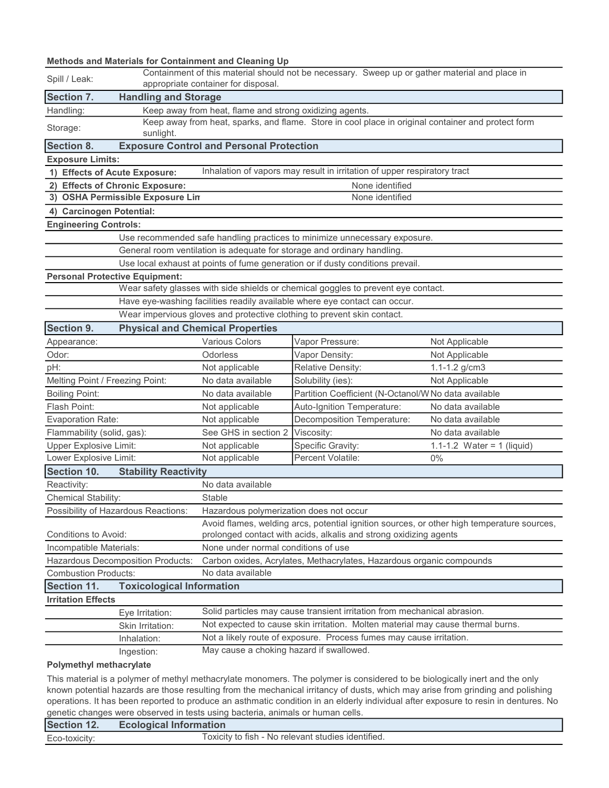## Methods and Materials for Containment and Cleaning Up

| Spill / Leak:                                                                               | Containment of this material should not be necessary. Sweep up or gather material and place in<br>appropriate container for disposal. |                                                                                                    |                                                                                   |                                                                                            |  |  |
|---------------------------------------------------------------------------------------------|---------------------------------------------------------------------------------------------------------------------------------------|----------------------------------------------------------------------------------------------------|-----------------------------------------------------------------------------------|--------------------------------------------------------------------------------------------|--|--|
| Section 7.                                                                                  | <b>Handling and Storage</b>                                                                                                           |                                                                                                    |                                                                                   |                                                                                            |  |  |
| Handling:                                                                                   |                                                                                                                                       | Keep away from heat, flame and strong oxidizing agents.                                            |                                                                                   |                                                                                            |  |  |
| Storage:                                                                                    | sunlight.                                                                                                                             | Keep away from heat, sparks, and flame. Store in cool place in original container and protect form |                                                                                   |                                                                                            |  |  |
| <b>Section 8.</b>                                                                           |                                                                                                                                       | <b>Exposure Control and Personal Protection</b>                                                    |                                                                                   |                                                                                            |  |  |
| <b>Exposure Limits:</b>                                                                     |                                                                                                                                       |                                                                                                    |                                                                                   |                                                                                            |  |  |
|                                                                                             | 1) Effects of Acute Exposure:                                                                                                         |                                                                                                    | Inhalation of vapors may result in irritation of upper respiratory tract          |                                                                                            |  |  |
|                                                                                             | 2) Effects of Chronic Exposure:                                                                                                       |                                                                                                    | None identified                                                                   |                                                                                            |  |  |
|                                                                                             | 3) OSHA Permissible Exposure Lin                                                                                                      |                                                                                                    | None identified                                                                   |                                                                                            |  |  |
| 4) Carcinogen Potential:                                                                    |                                                                                                                                       |                                                                                                    |                                                                                   |                                                                                            |  |  |
| <b>Engineering Controls:</b>                                                                |                                                                                                                                       |                                                                                                    |                                                                                   |                                                                                            |  |  |
|                                                                                             |                                                                                                                                       |                                                                                                    | Use recommended safe handling practices to minimize unnecessary exposure.         |                                                                                            |  |  |
|                                                                                             |                                                                                                                                       |                                                                                                    | General room ventilation is adequate for storage and ordinary handling.           |                                                                                            |  |  |
|                                                                                             |                                                                                                                                       |                                                                                                    | Use local exhaust at points of fume generation or if dusty conditions prevail.    |                                                                                            |  |  |
|                                                                                             | <b>Personal Protective Equipment:</b>                                                                                                 |                                                                                                    |                                                                                   |                                                                                            |  |  |
|                                                                                             |                                                                                                                                       |                                                                                                    | Wear safety glasses with side shields or chemical goggles to prevent eye contact. |                                                                                            |  |  |
|                                                                                             |                                                                                                                                       |                                                                                                    | Have eye-washing facilities readily available where eye contact can occur.        |                                                                                            |  |  |
|                                                                                             |                                                                                                                                       |                                                                                                    | Wear impervious gloves and protective clothing to prevent skin contact.           |                                                                                            |  |  |
| <b>Section 9.</b>                                                                           |                                                                                                                                       | <b>Physical and Chemical Properties</b>                                                            |                                                                                   |                                                                                            |  |  |
| Appearance:                                                                                 |                                                                                                                                       | Various Colors                                                                                     | Vapor Pressure:                                                                   | Not Applicable                                                                             |  |  |
| Odor:                                                                                       |                                                                                                                                       | Odorless                                                                                           | Vapor Density:                                                                    | Not Applicable                                                                             |  |  |
| pH:                                                                                         |                                                                                                                                       | Not applicable                                                                                     | Relative Density:                                                                 | $1.1 - 1.2$ g/cm3                                                                          |  |  |
| Melting Point / Freezing Point:                                                             |                                                                                                                                       | No data available                                                                                  | Solubility (ies):                                                                 | Not Applicable                                                                             |  |  |
| <b>Boiling Point:</b>                                                                       |                                                                                                                                       | No data available                                                                                  | Partition Coefficient (N-Octanol/W No data available                              |                                                                                            |  |  |
| Flash Point:                                                                                |                                                                                                                                       | Not applicable                                                                                     | Auto-Ignition Temperature:                                                        | No data available                                                                          |  |  |
| <b>Evaporation Rate:</b>                                                                    |                                                                                                                                       | Not applicable                                                                                     | Decomposition Temperature:                                                        | No data available                                                                          |  |  |
| Flammability (solid, gas):                                                                  |                                                                                                                                       | See GHS in section 2                                                                               | Viscosity:                                                                        | No data available                                                                          |  |  |
| <b>Upper Explosive Limit:</b>                                                               |                                                                                                                                       | Not applicable                                                                                     | Specific Gravity:                                                                 | 1.1-1.2 Water = 1 (liquid)                                                                 |  |  |
| Lower Explosive Limit:                                                                      |                                                                                                                                       | Not applicable                                                                                     | Percent Volatile:                                                                 | $0\%$                                                                                      |  |  |
| Section 10.                                                                                 | <b>Stability Reactivity</b>                                                                                                           |                                                                                                    |                                                                                   |                                                                                            |  |  |
| Reactivity:                                                                                 |                                                                                                                                       | No data available                                                                                  |                                                                                   |                                                                                            |  |  |
| Chemical Stability:                                                                         |                                                                                                                                       | Stable                                                                                             |                                                                                   |                                                                                            |  |  |
|                                                                                             | Possibility of Hazardous Reactions:                                                                                                   | Hazardous polymerization does not occur                                                            |                                                                                   |                                                                                            |  |  |
| Conditions to Avoid:                                                                        |                                                                                                                                       |                                                                                                    | prolonged contact with acids, alkalis and strong oxidizing agents                 | Avoid flames, welding arcs, potential ignition sources, or other high temperature sources, |  |  |
| Incompatible Materials:                                                                     |                                                                                                                                       | None under normal conditions of use                                                                |                                                                                   |                                                                                            |  |  |
|                                                                                             | Hazardous Decomposition Products:<br>Carbon oxides, Acrylates, Methacrylates, Hazardous organic compounds                             |                                                                                                    |                                                                                   |                                                                                            |  |  |
| No data available<br><b>Combustion Products:</b>                                            |                                                                                                                                       |                                                                                                    |                                                                                   |                                                                                            |  |  |
| Section 11.                                                                                 | <b>Toxicological Information</b>                                                                                                      |                                                                                                    |                                                                                   |                                                                                            |  |  |
| <b>Irritation Effects</b>                                                                   |                                                                                                                                       |                                                                                                    |                                                                                   |                                                                                            |  |  |
| Solid particles may cause transient irritation from mechanical abrasion.<br>Eye Irritation: |                                                                                                                                       |                                                                                                    |                                                                                   |                                                                                            |  |  |
|                                                                                             | Skin Irritation:                                                                                                                      | Not expected to cause skin irritation. Molten material may cause thermal burns.                    |                                                                                   |                                                                                            |  |  |
|                                                                                             | Inhalation:                                                                                                                           |                                                                                                    | Not a likely route of exposure. Process fumes may cause irritation.               |                                                                                            |  |  |
|                                                                                             | Ingestion:                                                                                                                            | May cause a choking hazard if swallowed.                                                           |                                                                                   |                                                                                            |  |  |
| <b>Polymethyl methacrylate</b>                                                              |                                                                                                                                       |                                                                                                    |                                                                                   |                                                                                            |  |  |

This material is a polymer of methyl methacrylate monomers. The polymer is considered to be biologically inert and the only known potential hazards are those resulting from the mechanical irritancy of dusts, which may arise from grinding and polishing operations. It has been reported to produce an asthmatic condition in an elderly individual after exposure to resin in dentures. No genetic changes were observed in tests using bacteria, animals or human cells.

| <b>Section 12.</b> | <b>Ecological Information</b>                      |
|--------------------|----------------------------------------------------|
| Eco-toxicity:      | Toxicity to fish - No relevant studies identified. |